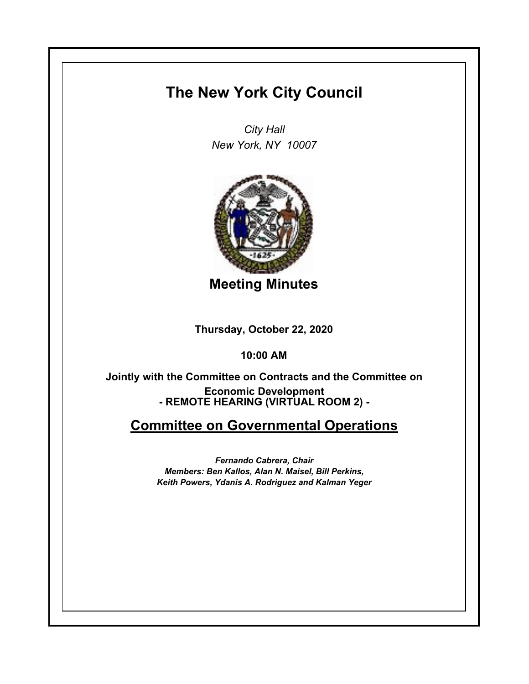## **The New York City Council**

*City Hall New York, NY 10007*



**Meeting Minutes**

**Thursday, October 22, 2020**

**10:00 AM**

**- REMOTE HEARING (VIRTUAL ROOM 2) - Jointly with the Committee on Contracts and the Committee on Economic Development**

## **Committee on Governmental Operations**

*Fernando Cabrera, Chair Members: Ben Kallos, Alan N. Maisel, Bill Perkins, Keith Powers, Ydanis A. Rodriguez and Kalman Yeger*